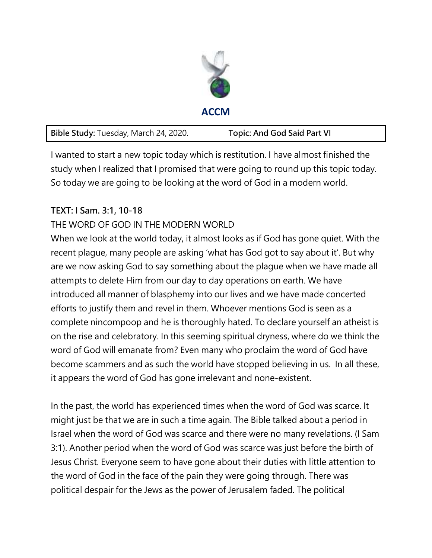

|  | Bible Study: Tuesday, March 24, 2020. | <b>Topic: And God Said Part VI</b> |
|--|---------------------------------------|------------------------------------|
|--|---------------------------------------|------------------------------------|

I wanted to start a new topic today which is restitution. I have almost finished the study when I realized that I promised that were going to round up this topic today. So today we are going to be looking at the word of God in a modern world.

## **TEXT: I Sam. 3:1, 10-18**

## THE WORD OF GOD IN THE MODERN WORLD

When we look at the world today, it almost looks as if God has gone quiet. With the recent plague, many people are asking 'what has God got to say about it'. But why are we now asking God to say something about the plague when we have made all attempts to delete Him from our day to day operations on earth. We have introduced all manner of blasphemy into our lives and we have made concerted efforts to justify them and revel in them. Whoever mentions God is seen as a complete nincompoop and he is thoroughly hated. To declare yourself an atheist is on the rise and celebratory. In this seeming spiritual dryness, where do we think the word of God will emanate from? Even many who proclaim the word of God have become scammers and as such the world have stopped believing in us. In all these, it appears the word of God has gone irrelevant and none-existent.

In the past, the world has experienced times when the word of God was scarce. It might just be that we are in such a time again. The Bible talked about a period in Israel when the word of God was scarce and there were no many revelations. (I Sam 3:1). Another period when the word of God was scarce was just before the birth of Jesus Christ. Everyone seem to have gone about their duties with little attention to the word of God in the face of the pain they were going through. There was political despair for the Jews as the power of Jerusalem faded. The political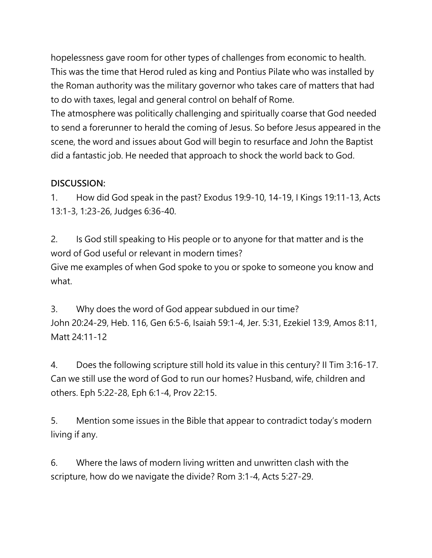hopelessness gave room for other types of challenges from economic to health. This was the time that Herod ruled as king and Pontius Pilate who was installed by the Roman authority was the military governor who takes care of matters that had to do with taxes, legal and general control on behalf of Rome.

The atmosphere was politically challenging and spiritually coarse that God needed to send a forerunner to herald the coming of Jesus. So before Jesus appeared in the scene, the word and issues about God will begin to resurface and John the Baptist did a fantastic job. He needed that approach to shock the world back to God.

## **DISCUSSION:**

1. How did God speak in the past? Exodus 19:9-10, 14-19, I Kings 19:11-13, Acts 13:1-3, 1:23-26, Judges 6:36-40.

2. Is God still speaking to His people or to anyone for that matter and is the word of God useful or relevant in modern times?

Give me examples of when God spoke to you or spoke to someone you know and what.

3. Why does the word of God appear subdued in our time? John 20:24-29, Heb. 116, Gen 6:5-6, Isaiah 59:1-4, Jer. 5:31, Ezekiel 13:9, Amos 8:11, Matt 24:11-12

4. Does the following scripture still hold its value in this century? II Tim 3:16-17. Can we still use the word of God to run our homes? Husband, wife, children and others. Eph 5:22-28, Eph 6:1-4, Prov 22:15.

5. Mention some issues in the Bible that appear to contradict today's modern living if any.

6. Where the laws of modern living written and unwritten clash with the scripture, how do we navigate the divide? Rom 3:1-4, Acts 5:27-29.